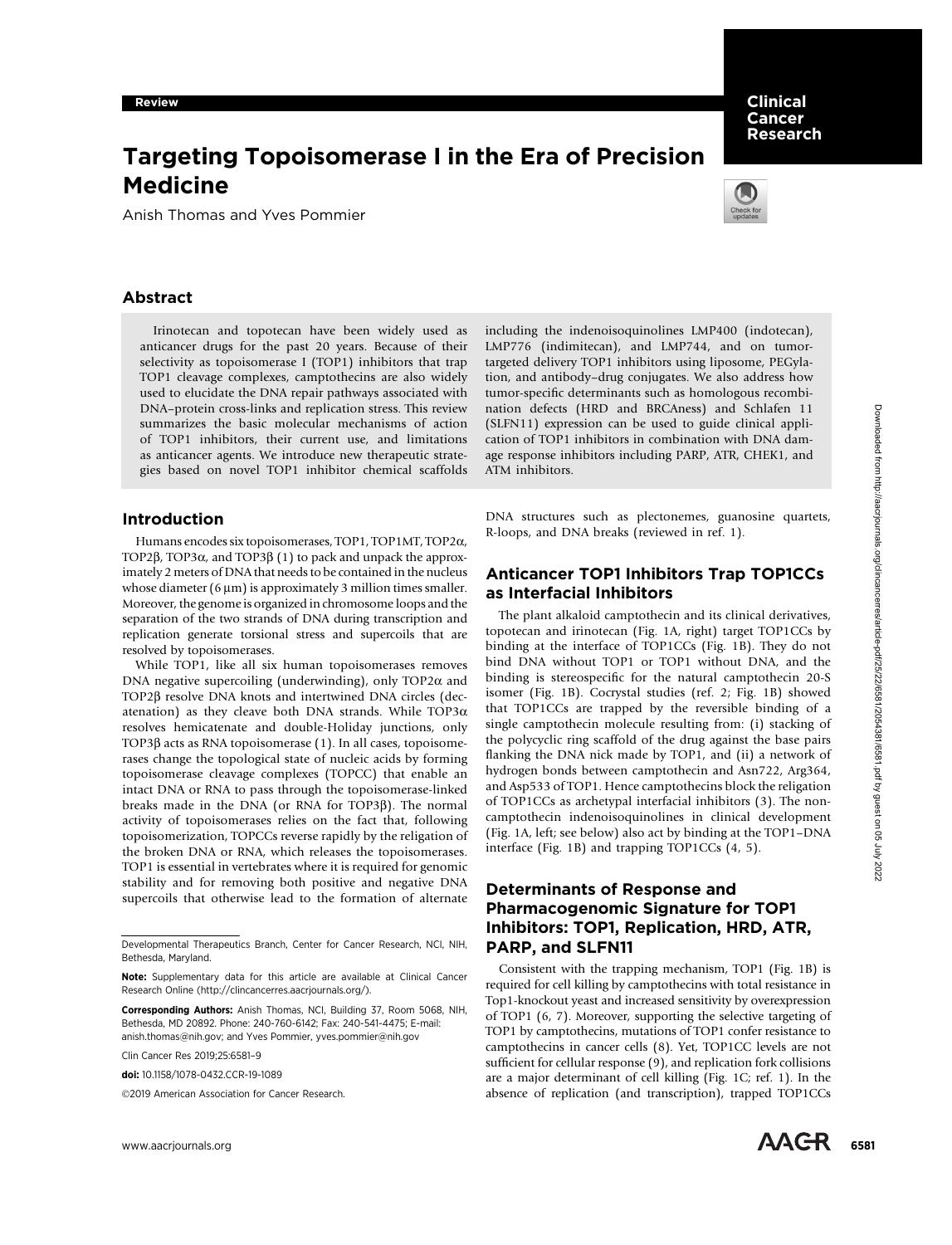# Targeting Topoisomerase I in the Era of Precision Medicine

Anish Thomas and Yves Pommier



Clinical Cancer Research

## Abstract

Irinotecan and topotecan have been widely used as anticancer drugs for the past 20 years. Because of their selectivity as topoisomerase I (TOP1) inhibitors that trap TOP1 cleavage complexes, camptothecins are also widely used to elucidate the DNA repair pathways associated with DNA–protein cross-links and replication stress. This review summarizes the basic molecular mechanisms of action of TOP1 inhibitors, their current use, and limitations as anticancer agents. We introduce new therapeutic strategies based on novel TOP1 inhibitor chemical scaffolds

## Introduction

Humans encodes six topoisomerases, TOP1, TOP1MT, TOP2a, TOP2 $\beta$ , TOP3 $\alpha$ , and TOP3 $\beta$  (1) to pack and unpack the approximately 2 meters of DNA that needs to be contained in the nucleus whose diameter  $(6 \mu m)$  is approximately 3 million times smaller. Moreover, the genome is organized in chromosome loops and the separation of the two strands of DNA during transcription and replication generate torsional stress and supercoils that are resolved by topoisomerases.

While TOP1, like all six human topoisomerases removes DNA negative supercoiling (underwinding), only  $TOP2\alpha$  and TOP2 $\beta$  resolve DNA knots and intertwined DNA circles (decatenation) as they cleave both DNA strands. While  $TOP3\alpha$ resolves hemicatenate and double-Holiday junctions, only TOP3b acts as RNA topoisomerase (1). In all cases, topoisomerases change the topological state of nucleic acids by forming topoisomerase cleavage complexes (TOPCC) that enable an intact DNA or RNA to pass through the topoisomerase-linked breaks made in the DNA (or RNA for TOP3b). The normal activity of topoisomerases relies on the fact that, following topoisomerization, TOPCCs reverse rapidly by the religation of the broken DNA or RNA, which releases the topoisomerases. TOP1 is essential in vertebrates where it is required for genomic stability and for removing both positive and negative DNA supercoils that otherwise lead to the formation of alternate

Corresponding Authors: Anish Thomas, NCI, Building 37, Room 5068, NIH, Bethesda, MD 20892. Phone: 240-760-6142; Fax: 240-541-4475; E-mail: anish.thomas@nih.gov; and Yves Pommier, yves.pommier@nih.gov

Clin Cancer Res 2019;25:6581–9

2019 American Association for Cancer Research.

including the indenoisoquinolines LMP400 (indotecan), LMP776 (indimitecan), and LMP744, and on tumortargeted delivery TOP1 inhibitors using liposome, PEGylation, and antibody–drug conjugates. We also address how tumor-specific determinants such as homologous recombination defects (HRD and BRCAness) and Schlafen 11 (SLFN11) expression can be used to guide clinical application of TOP1 inhibitors in combination with DNA damage response inhibitors including PARP, ATR, CHEK1, and ATM inhibitors.

DNA structures such as plectonemes, guanosine quartets, R-loops, and DNA breaks (reviewed in ref. 1).

## Anticancer TOP1 Inhibitors Trap TOP1CCs as Interfacial Inhibitors

The plant alkaloid camptothecin and its clinical derivatives, topotecan and irinotecan (Fig. 1A, right) target TOP1CCs by binding at the interface of TOP1CCs (Fig. 1B). They do not bind DNA without TOP1 or TOP1 without DNA, and the binding is stereospecific for the natural camptothecin 20-S isomer (Fig. 1B). Cocrystal studies (ref. 2; Fig. 1B) showed that TOP1CCs are trapped by the reversible binding of a single camptothecin molecule resulting from: (i) stacking of the polycyclic ring scaffold of the drug against the base pairs flanking the DNA nick made by TOP1, and (ii) a network of hydrogen bonds between camptothecin and Asn722, Arg364, and Asp533 of TOP1. Hence camptothecins block the religation of TOP1CCs as archetypal interfacial inhibitors (3). The noncamptothecin indenoisoquinolines in clinical development (Fig. 1A, left; see below) also act by binding at the TOP1–DNA interface (Fig. 1B) and trapping TOP1CCs (4, 5). EVERT TOP Hotel control are all the second from https://aacrossoft.com/clincancerres/article-particle-particle-particle-particle-particle-particle-particle-particle-particle-particle-particle-particle-particle-particle-pa

## Determinants of Response and Pharmacogenomic Signature for TOP1 Inhibitors: TOP1, Replication, HRD, ATR, PARP, and SLFN11

Consistent with the trapping mechanism, TOP1 (Fig. 1B) is required for cell killing by camptothecins with total resistance in Top1-knockout yeast and increased sensitivity by overexpression of TOP1 (6, 7). Moreover, supporting the selective targeting of TOP1 by camptothecins, mutations of TOP1 confer resistance to camptothecins in cancer cells (8). Yet, TOP1CC levels are not sufficient for cellular response (9), and replication fork collisions are a major determinant of cell killing (Fig. 1C; ref. 1). In the absence of replication (and transcription), trapped TOP1CCs

Developmental Therapeutics Branch, Center for Cancer Research, NCI, NIH, Bethesda, Maryland.

Note: Supplementary data for this article are available at Clinical Cancer Research Online (http://clincancerres.aacrjournals.org/).

doi: 10.1158/1078-0432.CCR-19-1089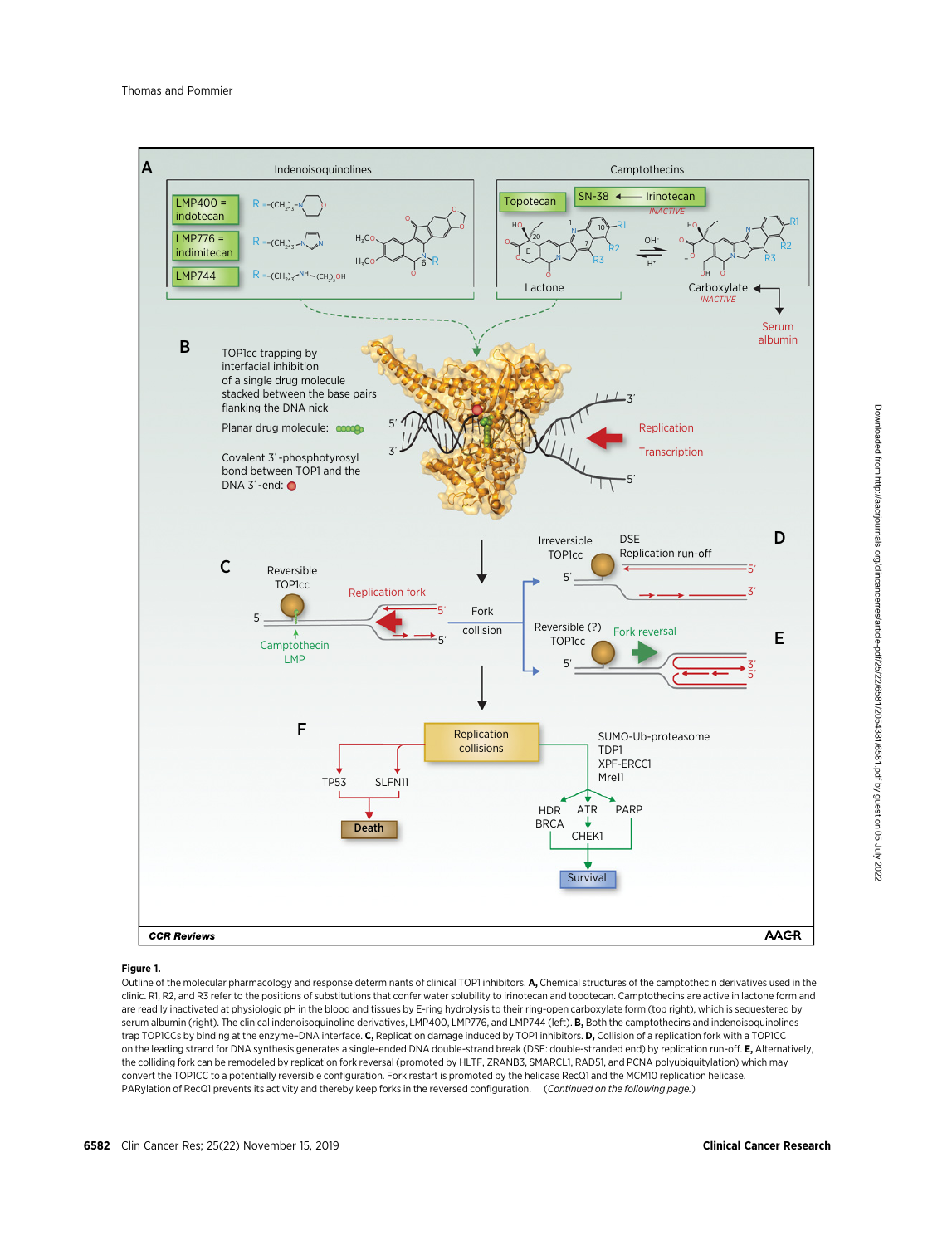

#### Figure 1.

Outline of the molecular pharmacology and response determinants of clinical TOP1 inhibitors. A, Chemical structures of the camptothecin derivatives used in the clinic. R1, R2, and R3 refer to the positions of substitutions that confer water solubility to irinotecan and topotecan. Camptothecins are active in lactone form and are readily inactivated at physiologic pH in the blood and tissues by E-ring hydrolysis to their ring-open carboxylate form (top right), which is sequestered by serum albumin (right). The clinical indenoisoquinoline derivatives, LMP400, LMP776, and LMP744 (left). B, Both the camptothecins and indenoisoquinolines trap TOP1CCs by binding at the enzyme-DNA interface. C, Replication damage induced by TOP1 inhibitors. D, Collision of a replication fork with a TOP1CC on the leading strand for DNA synthesis generates a single-ended DNA double-strand break (DSE: double-stranded end) by replication run-off. E, Alternatively, the colliding fork can be remodeled by replication fork reversal (promoted by HLTF, ZRANB3, SMARCL1, RAD51, and PCNA polyubiquitylation) which may convert the TOP1CC to a potentially reversible configuration. Fork restart is promoted by the helicase RecQ1 and the MCM10 replication helicase. PARylation of RecQ1 prevents its activity and thereby keep forks in the reversed configuration. (Continued on the following page.)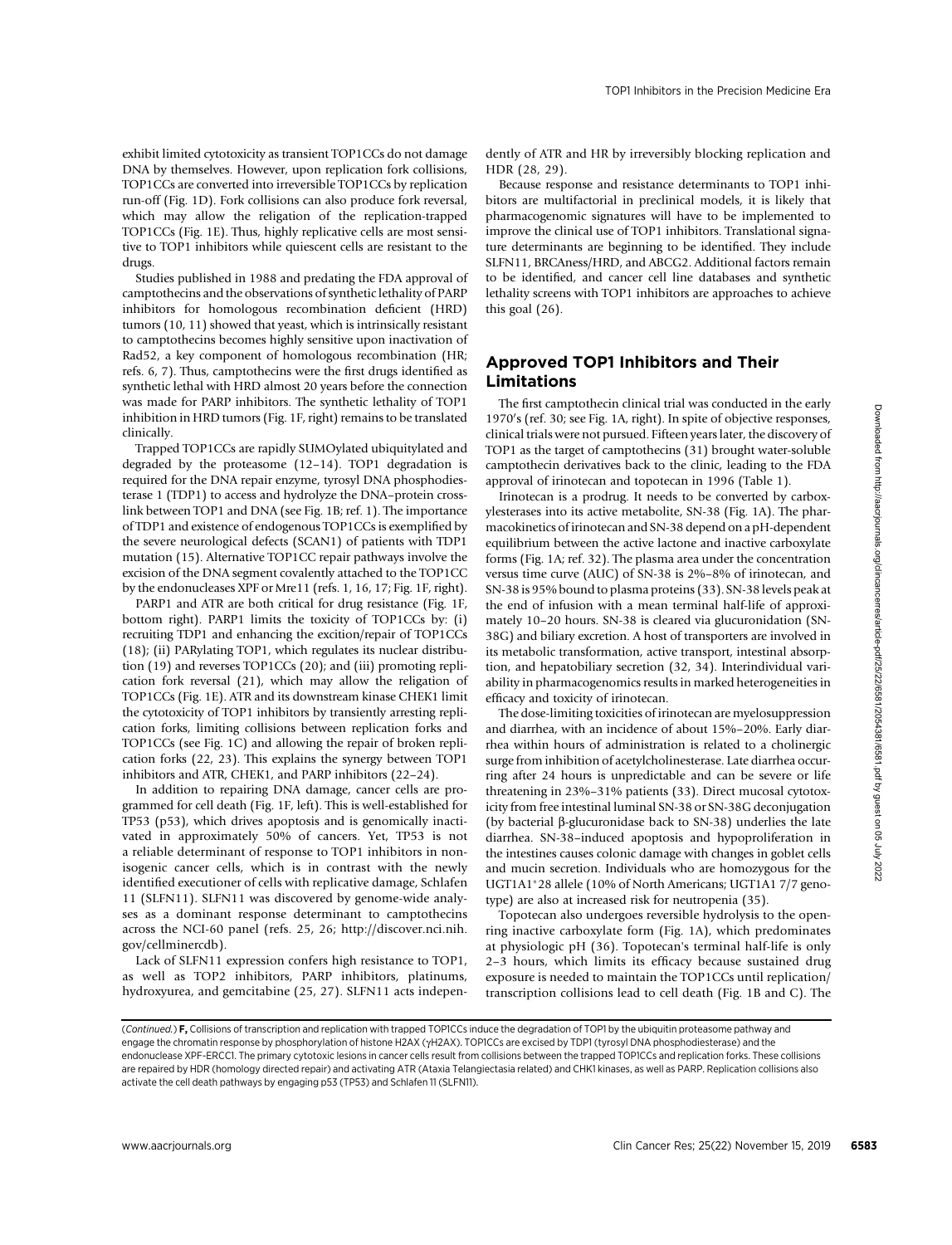exhibit limited cytotoxicity as transient TOP1CCs do not damage DNA by themselves. However, upon replication fork collisions, TOP1CCs are converted into irreversible TOP1CCs by replication run-off (Fig. 1D). Fork collisions can also produce fork reversal, which may allow the religation of the replication-trapped TOP1CCs (Fig. 1E). Thus, highly replicative cells are most sensitive to TOP1 inhibitors while quiescent cells are resistant to the drugs.

Studies published in 1988 and predating the FDA approval of camptothecins and the observations of synthetic lethality of PARP inhibitors for homologous recombination deficient (HRD) tumors (10, 11) showed that yeast, which is intrinsically resistant to camptothecins becomes highly sensitive upon inactivation of Rad52, a key component of homologous recombination (HR; refs. 6, 7). Thus, camptothecins were the first drugs identified as synthetic lethal with HRD almost 20 years before the connection was made for PARP inhibitors. The synthetic lethality of TOP1 inhibition in HRD tumors (Fig. 1F, right) remains to be translated clinically.

Trapped TOP1CCs are rapidly SUMOylated ubiquitylated and degraded by the proteasome (12–14). TOP1 degradation is required for the DNA repair enzyme, tyrosyl DNA phosphodiesterase 1 (TDP1) to access and hydrolyze the DNA–protein crosslink between TOP1 and DNA (see Fig. 1B; ref. 1). The importance of TDP1 and existence of endogenous TOP1CCs is exemplified by the severe neurological defects (SCAN1) of patients with TDP1 mutation (15). Alternative TOP1CC repair pathways involve the excision of the DNA segment covalently attached to the TOP1CC by the endonucleases XPF or Mre11 (refs. 1, 16, 17; Fig. 1F, right).

PARP1 and ATR are both critical for drug resistance (Fig. 1F, bottom right). PARP1 limits the toxicity of TOP1CCs by: (i) recruiting TDP1 and enhancing the excition/repair of TOP1CCs (18); (ii) PARylating TOP1, which regulates its nuclear distribution (19) and reverses TOP1CCs (20); and (iii) promoting replication fork reversal (21), which may allow the religation of TOP1CCs (Fig. 1E). ATR and its downstream kinase CHEK1 limit the cytotoxicity of TOP1 inhibitors by transiently arresting replication forks, limiting collisions between replication forks and TOP1CCs (see Fig. 1C) and allowing the repair of broken replication forks (22, 23). This explains the synergy between TOP1 inhibitors and ATR, CHEK1, and PARP inhibitors (22–24).

In addition to repairing DNA damage, cancer cells are programmed for cell death (Fig. 1F, left). This is well-established for TP53 (p53), which drives apoptosis and is genomically inactivated in approximately 50% of cancers. Yet, TP53 is not a reliable determinant of response to TOP1 inhibitors in nonisogenic cancer cells, which is in contrast with the newly identified executioner of cells with replicative damage, Schlafen 11 (SLFN11). SLFN11 was discovered by genome-wide analyses as a dominant response determinant to camptothecins across the NCI-60 panel (refs. 25, 26; [http://discover.nci.nih.](http://discover.nci.nih.gov/cellminercdb) [gov/cellminercdb](http://discover.nci.nih.gov/cellminercdb)).

Lack of SLFN11 expression confers high resistance to TOP1, as well as TOP2 inhibitors, PARP inhibitors, platinums, hydroxyurea, and gemcitabine (25, 27). SLFN11 acts independently of ATR and HR by irreversibly blocking replication and HDR (28, 29).

Because response and resistance determinants to TOP1 inhibitors are multifactorial in preclinical models, it is likely that pharmacogenomic signatures will have to be implemented to improve the clinical use of TOP1 inhibitors. Translational signature determinants are beginning to be identified. They include SLFN11, BRCAness/HRD, and ABCG2. Additional factors remain to be identified, and cancer cell line databases and synthetic lethality screens with TOP1 inhibitors are approaches to achieve this goal (26).

## Approved TOP1 Inhibitors and Their Limitations

The first camptothecin clinical trial was conducted in the early 1970's (ref. 30; see Fig. 1A, right). In spite of objective responses, clinical trials were not pursued. Fifteen years later, the discovery of TOP1 as the target of camptothecins (31) brought water-soluble camptothecin derivatives back to the clinic, leading to the FDA approval of irinotecan and topotecan in 1996 (Table 1).

Irinotecan is a prodrug. It needs to be converted by carboxylesterases into its active metabolite, SN-38 (Fig. 1A). The pharmacokinetics of irinotecan and SN-38 depend on a pH-dependent equilibrium between the active lactone and inactive carboxylate forms (Fig. 1A; ref. 32). The plasma area under the concentration versus time curve (AUC) of SN-38 is 2%–8% of irinotecan, and SN-38 is 95% bound to plasma proteins (33). SN-38 levels peak at the end of infusion with a mean terminal half-life of approximately 10–20 hours. SN-38 is cleared via glucuronidation (SN-38G) and biliary excretion. A host of transporters are involved in its metabolic transformation, active transport, intestinal absorption, and hepatobiliary secretion (32, 34). Interindividual variability in pharmacogenomics results in marked heterogeneities in efficacy and toxicity of irinotecan. inhibition in RES) means (Fig. 1). Fig. 2) Addition in Terms (Clien Cancer Res; 2). Giga Connective Hereby (1) Cancer Responses the Connective Hereby (1). Fig. 2019 6583 (1) Panal Terms (1) Hereby The Client Cancer Respon

The dose-limiting toxicities of irinotecan are myelosuppression and diarrhea, with an incidence of about 15%–20%. Early diarrhea within hours of administration is related to a cholinergic surge from inhibition of acetylcholinesterase. Late diarrhea occurring after 24 hours is unpredictable and can be severe or life threatening in 23%–31% patients (33). Direct mucosal cytotoxicity from free intestinal luminal SN-38 or SN-38G deconjugation (by bacterial  $\beta$ -glucuronidase back to SN-38) underlies the late diarrhea. SN-38–induced apoptosis and hypoproliferation in the intestines causes colonic damage with changes in goblet cells and mucin secretion. Individuals who are homozygous for the UGT1A1-28 allele (10% of North Americans; UGT1A1 7/7 genotype) are also at increased risk for neutropenia (35).

Topotecan also undergoes reversible hydrolysis to the openring inactive carboxylate form (Fig. 1A), which predominates at physiologic pH (36). Topotecan's terminal half-life is only 2–3 hours, which limits its efficacy because sustained drug exposure is needed to maintain the TOP1CCs until replication/ transcription collisions lead to cell death (Fig. 1B and C). The

<sup>(</sup>Continued.) F, Collisions of transcription and replication with trapped TOP1CCs induce the degradation of TOP1 by the ubiquitin proteasome pathway and engage the chromatin response by phosphorylation of histone H2AX ( $\gamma$ H2AX). TOP1CCs are excised by TDP1 (tyrosyl DNA phosphodiesterase) and the endonuclease XPF-ERCC1. The primary cytotoxic lesions in cancer cells result from collisions between the trapped TOP1CCs and replication forks. These collisions are repaired by HDR (homology directed repair) and activating ATR (Ataxia Telangiectasia related) and CHK1 kinases, as well as PARP. Replication collisions also activate the cell death pathways by engaging p53 (TP53) and Schlafen 11 (SLFN11).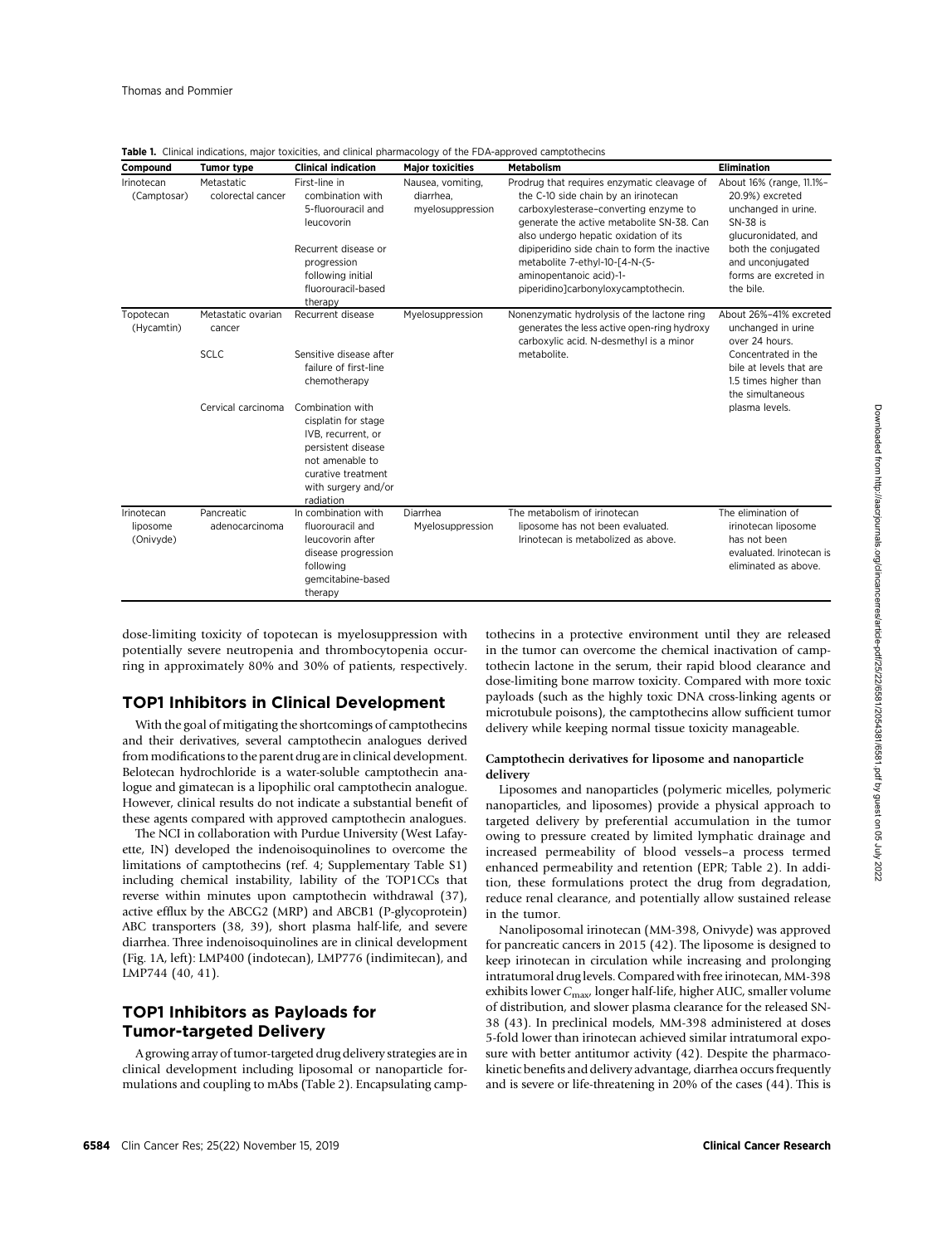| Compound                            | <b>Tumor type</b>                           | <b>Clinical indication</b>                                                                                                                                         | <b>Major toxicities</b>                            | <b>Metabolism</b>                                                                                                                                                                                                                                                                                                                                                      | <b>Elimination</b>                                                                                                                                                                     |  |
|-------------------------------------|---------------------------------------------|--------------------------------------------------------------------------------------------------------------------------------------------------------------------|----------------------------------------------------|------------------------------------------------------------------------------------------------------------------------------------------------------------------------------------------------------------------------------------------------------------------------------------------------------------------------------------------------------------------------|----------------------------------------------------------------------------------------------------------------------------------------------------------------------------------------|--|
| Irinotecan<br>(Camptosar)           | Metastatic<br>colorectal cancer             | First-line in<br>combination with<br>5-fluorouracil and<br>leucovorin<br>Recurrent disease or<br>progression<br>following initial<br>fluorouracil-based<br>therapy | Nausea, vomiting,<br>diarrhea.<br>myelosuppression | Prodrug that requires enzymatic cleavage of<br>the C-10 side chain by an irinotecan<br>carboxylesterase-converting enzyme to<br>generate the active metabolite SN-38. Can<br>also undergo hepatic oxidation of its<br>dipiperidino side chain to form the inactive<br>metabolite 7-ethyl-10-[4-N-(5-<br>aminopentanoic acid)-1-<br>piperidino]carbonyloxycamptothecin. | About 16% (range, 11.1%-<br>20.9%) excreted<br>unchanged in urine.<br>SN-38 is<br>glucuronidated, and<br>both the conjugated<br>and unconjugated<br>forms are excreted in<br>the bile. |  |
| Topotecan<br>(Hycamtin)             | Metastatic ovarian<br>cancer<br><b>SCLC</b> | Recurrent disease<br>Sensitive disease after<br>failure of first-line<br>chemotherapy                                                                              | Myelosuppression                                   | Nonenzymatic hydrolysis of the lactone ring<br>generates the less active open-ring hydroxy<br>carboxylic acid. N-desmethyl is a minor<br>metabolite.                                                                                                                                                                                                                   | About 26%-41% excreted<br>unchanged in urine<br>over 24 hours.<br>Concentrated in the<br>bile at levels that are<br>1.5 times higher than                                              |  |
|                                     | Cervical carcinoma                          | Combination with<br>cisplatin for stage<br>IVB. recurrent. or<br>persistent disease<br>not amenable to<br>curative treatment<br>with surgery and/or<br>radiation   |                                                    |                                                                                                                                                                                                                                                                                                                                                                        | the simultaneous<br>plasma levels.                                                                                                                                                     |  |
| Irinotecan<br>liposome<br>(Onivyde) | Pancreatic<br>adenocarcinoma                | In combination with<br>fluorouracil and<br>leucovorin after<br>disease progression<br>following<br>gemcitabine-based<br>therapy                                    | Diarrhea<br>Myelosuppression                       | The metabolism of irinotecan<br>liposome has not been evaluated.<br>Irinotecan is metabolized as above.                                                                                                                                                                                                                                                                | The elimination of<br>irinotecan liposome<br>has not been<br>evaluated. Irinotecan is<br>eliminated as above.                                                                          |  |

Table 1. Clinical indications, major toxicities, and clinical pharmacology of the FDA-approved camptothecins

dose-limiting toxicity of topotecan is myelosuppression with potentially severe neutropenia and thrombocytopenia occurring in approximately 80% and 30% of patients, respectively.

## TOP1 Inhibitors in Clinical Development

With the goal of mitigating the shortcomings of camptothecins and their derivatives, several camptothecin analogues derived from modifications to the parent drug are in clinical development. Belotecan hydrochloride is a water-soluble camptothecin analogue and gimatecan is a lipophilic oral camptothecin analogue. However, clinical results do not indicate a substantial benefit of these agents compared with approved camptothecin analogues.

The NCI in collaboration with Purdue University (West Lafayette, IN) developed the indenoisoquinolines to overcome the limitations of camptothecins (ref. 4; Supplementary Table S1) including chemical instability, lability of the TOP1CCs that reverse within minutes upon camptothecin withdrawal (37), active efflux by the ABCG2 (MRP) and ABCB1 (P-glycoprotein) ABC transporters (38, 39), short plasma half-life, and severe diarrhea. Three indenoisoquinolines are in clinical development (Fig. 1A, left): LMP400 (indotecan), LMP776 (indimitecan), and LMP744 (40, 41).

## TOP1 Inhibitors as Payloads for Tumor-targeted Delivery

A growing array of tumor-targeted drug delivery strategies are in clinical development including liposomal or nanoparticle formulations and coupling to mAbs (Table 2). Encapsulating camptothecins in a protective environment until they are released in the tumor can overcome the chemical inactivation of camptothecin lactone in the serum, their rapid blood clearance and dose-limiting bone marrow toxicity. Compared with more toxic payloads (such as the highly toxic DNA cross-linking agents or microtubule poisons), the camptothecins allow sufficient tumor delivery while keeping normal tissue toxicity manageable.

#### Camptothecin derivatives for liposome and nanoparticle delivery

Liposomes and nanoparticles (polymeric micelles, polymeric nanoparticles, and liposomes) provide a physical approach to targeted delivery by preferential accumulation in the tumor owing to pressure created by limited lymphatic drainage and increased permeability of blood vessels–a process termed enhanced permeability and retention (EPR; Table 2). In addition, these formulations protect the drug from degradation, reduce renal clearance, and potentially allow sustained release in the tumor.

Nanoliposomal irinotecan (MM-398, Onivyde) was approved for pancreatic cancers in 2015 (42). The liposome is designed to keep irinotecan in circulation while increasing and prolonging intratumoral drug levels. Compared with free irinotecan, MM-398 exhibits lower  $C_{\text{max}}$ , longer half-life, higher AUC, smaller volume of distribution, and slower plasma clearance for the released SN-38 (43). In preclinical models, MM-398 administered at doses 5-fold lower than irinotecan achieved similar intratumoral exposure with better antitumor activity (42). Despite the pharmacokinetic benefits and delivery advantage, diarrhea occurs frequently and is severe or life-threatening in 20% of the cases (44). This is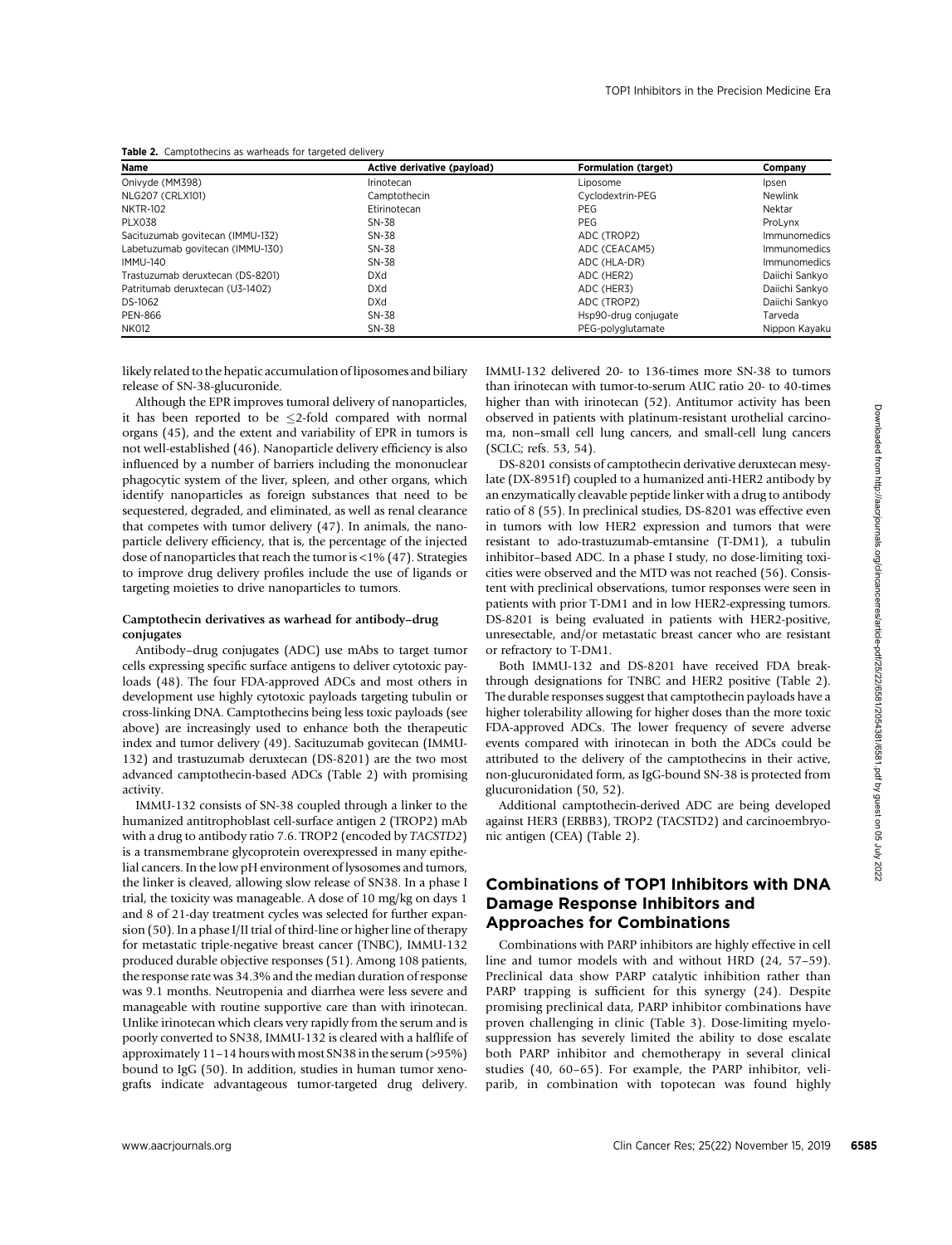|  | Table 2. Camptothecins as warheads for targeted delivery |  |  |  |
|--|----------------------------------------------------------|--|--|--|
|--|----------------------------------------------------------|--|--|--|

| Name                             | Active derivative (pavload) | <b>Formulation (target)</b> | Company        |
|----------------------------------|-----------------------------|-----------------------------|----------------|
| Onivyde (MM398)                  | Irinotecan                  | Liposome                    | Ipsen          |
| NLG207 (CRLX101)                 | Camptothecin                | Cyclodextrin-PEG            | Newlink        |
| <b>NKTR-102</b>                  | Etirinotecan                | <b>PEG</b>                  | Nektar         |
| PLX038                           | $SN-38$                     | <b>PEG</b>                  | ProLvnx        |
| Sacituzumab govitecan (IMMU-132) | SN-38                       | ADC (TROP2)                 | Immunomedics   |
| Labetuzumab govitecan (IMMU-130) | SN-38                       | ADC (CEACAM5)               | Immunomedics   |
| <b>IMMU-140</b>                  | SN-38                       | ADC (HLA-DR)                | Immunomedics   |
| Trastuzumab deruxtecan (DS-8201) | <b>DXd</b>                  | ADC (HER2)                  | Daiichi Sankvo |
| Patritumab deruxtecan (U3-1402)  | <b>DXd</b>                  | ADC (HER3)                  | Daiichi Sankvo |
| DS-1062                          | <b>DXd</b>                  | ADC (TROP2)                 | Daiichi Sankvo |
| <b>PEN-866</b>                   | SN-38                       | Hsp90-drug conjugate        | Tarveda        |
| <b>NK012</b>                     | SN-38                       | PEG-polvglutamate           | Nippon Kayaku  |

likely related to the hepatic accumulation of liposomes and biliary release of SN-38-glucuronide.

Although the EPR improves tumoral delivery of nanoparticles, it has been reported to be  $\leq$ 2-fold compared with normal organs (45), and the extent and variability of EPR in tumors is not well-established (46). Nanoparticle delivery efficiency is also influenced by a number of barriers including the mononuclear phagocytic system of the liver, spleen, and other organs, which identify nanoparticles as foreign substances that need to be sequestered, degraded, and eliminated, as well as renal clearance that competes with tumor delivery (47). In animals, the nanoparticle delivery efficiency, that is, the percentage of the injected dose of nanoparticles that reach the tumor is  $\langle 1\% (47)$ . Strategies to improve drug delivery profiles include the use of ligands or targeting moieties to drive nanoparticles to tumors.

#### Camptothecin derivatives as warhead for antibody–drug conjugates

Antibody–drug conjugates (ADC) use mAbs to target tumor cells expressing specific surface antigens to deliver cytotoxic payloads (48). The four FDA-approved ADCs and most others in development use highly cytotoxic payloads targeting tubulin or cross-linking DNA. Camptothecins being less toxic payloads (see above) are increasingly used to enhance both the therapeutic index and tumor delivery (49). Sacituzumab govitecan (IMMU-132) and trastuzumab deruxtecan (DS-8201) are the two most advanced camptothecin-based ADCs (Table 2) with promising activity.

IMMU-132 consists of SN-38 coupled through a linker to the humanized antitrophoblast cell-surface antigen 2 (TROP2) mAb with a drug to antibody ratio 7.6. TROP2 (encoded by TACSTD2) is a transmembrane glycoprotein overexpressed in many epithelial cancers. In the low pH environment of lysosomes and tumors, the linker is cleaved, allowing slow release of SN38. In a phase I trial, the toxicity was manageable. A dose of 10 mg/kg on days 1 and 8 of 21-day treatment cycles was selected for further expansion (50). In a phase I/II trial of third-line or higher line of therapy for metastatic triple-negative breast cancer (TNBC), IMMU-132 produced durable objective responses (51). Among 108 patients, the response rate was 34.3% and the median duration of response was 9.1 months. Neutropenia and diarrhea were less severe and manageable with routine supportive care than with irinotecan. Unlike irinotecan which clears very rapidly from the serum and is poorly converted to SN38, IMMU-132 is cleared with a halflife of approximately 11–14 hours with most SN38 in the serum (>95%) bound to IgG (50). In addition, studies in human tumor xenografts indicate advantageous tumor-targeted drug delivery. It has been reported to K-2 Calci comparist with crossing order in pairies with the main ances are client at the control of the New York (21) Associated for the New York (25) November 16, 2019 Clin Cancer Resident Clin Ca

IMMU-132 delivered 20- to 136-times more SN-38 to tumors than irinotecan with tumor-to-serum AUC ratio 20- to 40-times higher than with irinotecan (52). Antitumor activity has been observed in patients with platinum-resistant urothelial carcinoma, non–small cell lung cancers, and small-cell lung cancers (SCLC; refs. 53, 54).

DS-8201 consists of camptothecin derivative deruxtecan mesylate (DX-8951f) coupled to a humanized anti-HER2 antibody by an enzymatically cleavable peptide linker with a drug to antibody ratio of 8 (55). In preclinical studies, DS-8201 was effective even in tumors with low HER2 expression and tumors that were resistant to ado-trastuzumab-emtansine (T-DM1), a tubulin inhibitor–based ADC. In a phase I study, no dose-limiting toxicities were observed and the MTD was not reached (56). Consistent with preclinical observations, tumor responses were seen in patients with prior T-DM1 and in low HER2-expressing tumors. DS-8201 is being evaluated in patients with HER2-positive, unresectable, and/or metastatic breast cancer who are resistant or refractory to T-DM1.

Both IMMU-132 and DS-8201 have received FDA breakthrough designations for TNBC and HER2 positive (Table 2). The durable responses suggest that camptothecin payloads have a higher tolerability allowing for higher doses than the more toxic FDA-approved ADCs. The lower frequency of severe adverse events compared with irinotecan in both the ADCs could be attributed to the delivery of the camptothecins in their active, non-glucuronidated form, as IgG-bound SN-38 is protected from glucuronidation (50, 52).

Additional camptothecin-derived ADC are being developed against HER3 (ERBB3), TROP2 (TACSTD2) and carcinoembryonic antigen (CEA) (Table 2).

## Combinations of TOP1 Inhibitors with DNA Damage Response Inhibitors and Approaches for Combinations

Combinations with PARP inhibitors are highly effective in cell line and tumor models with and without HRD (24, 57–59). Preclinical data show PARP catalytic inhibition rather than PARP trapping is sufficient for this synergy (24). Despite promising preclinical data, PARP inhibitor combinations have proven challenging in clinic (Table 3). Dose-limiting myelosuppression has severely limited the ability to dose escalate both PARP inhibitor and chemotherapy in several clinical studies (40, 60–65). For example, the PARP inhibitor, veliparib, in combination with topotecan was found highly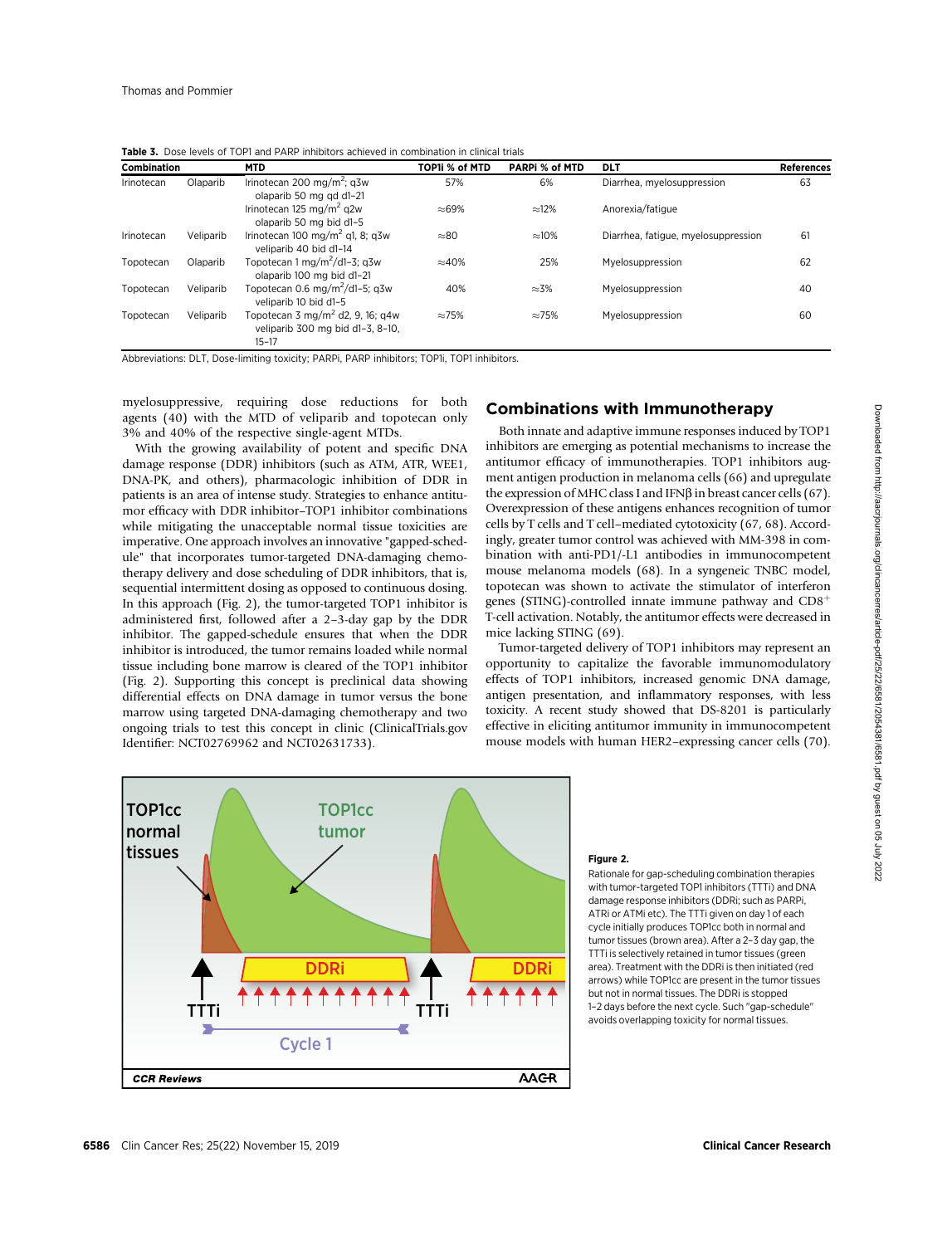| <b>Combination</b> |           | <b>MTD</b>                                                                                    | TOP1i % of MTD | <b>PARPI % of MTD</b> | <b>DLT</b>                          | <b>References</b> |
|--------------------|-----------|-----------------------------------------------------------------------------------------------|----------------|-----------------------|-------------------------------------|-------------------|
| Irinotecan         | Olaparib  | Irinotecan 200 mg/m <sup>2</sup> ; g3w<br>olaparib 50 mg gd d1-21                             | 57%            | 6%                    | Diarrhea, myelosuppression          | 63                |
|                    |           | Irinotecan 125 mg/m <sup>2</sup> g <sub>2w</sub><br>olaparib 50 mg bid d1-5                   | $\approx 69\%$ | $\approx$ 12%         | Anorexia/fatique                    |                   |
| Irinotecan         | Veliparib | Irinotecan 100 mg/m <sup>2</sup> g1, 8; g3w<br>veliparib 40 bid d1-14                         | $\approx 80$   | $\approx 10\%$        | Diarrhea, fatigue, myelosuppression | 61                |
| Topotecan          | Olaparib  | Topotecan 1 mg/m <sup>2</sup> /d1-3: $a3w$<br>olaparib 100 mg bid d1-21                       | $\approx$ 40%  | 25%                   | Myelosuppression                    | 62                |
| Topotecan          | Veliparib | Topotecan 0.6 mg/m <sup>2</sup> /d1-5; g3w<br>veliparib 10 bid d1-5                           | 40%            | $\approx$ 3%          | Myelosuppression                    | 40                |
| Topotecan          | Veliparib | Topotecan 3 mg/m <sup>2</sup> d2, 9, 16; q4w<br>veliparib 300 mg bid d1-3, 8-10.<br>$15 - 17$ | $\approx 75\%$ | $\approx$ 75%         | Myelosuppression                    | 60                |

Table 3. Dose levels of TOP1 and PARP inhibitors achieved in combination in clinical trials

Abbreviations: DLT, Dose-limiting toxicity; PARPi, PARP inhibitors; TOP1i, TOP1 inhibitors.

myelosuppressive, requiring dose reductions for both agents (40) with the MTD of veliparib and topotecan only 3% and 40% of the respective single-agent MTDs.

With the growing availability of potent and specific DNA damage response (DDR) inhibitors (such as ATM, ATR, WEE1, DNA-PK, and others), pharmacologic inhibition of DDR in patients is an area of intense study. Strategies to enhance antitumor efficacy with DDR inhibitor–TOP1 inhibitor combinations while mitigating the unacceptable normal tissue toxicities are imperative. One approach involves an innovative "gapped-schedule" that incorporates tumor-targeted DNA-damaging chemotherapy delivery and dose scheduling of DDR inhibitors, that is, sequential intermittent dosing as opposed to continuous dosing. In this approach (Fig. 2), the tumor-targeted TOP1 inhibitor is administered first, followed after a 2–3-day gap by the DDR inhibitor. The gapped-schedule ensures that when the DDR inhibitor is introduced, the tumor remains loaded while normal tissue including bone marrow is cleared of the TOP1 inhibitor (Fig. 2). Supporting this concept is preclinical data showing differential effects on DNA damage in tumor versus the bone marrow using targeted DNA-damaging chemotherapy and two ongoing trials to test this concept in clinic (ClinicalTrials.gov Identifier: NCT02769962 and NCT02631733).

## Combinations with Immunotherapy

Both innate and adaptive immune responses induced by TOP1 inhibitors are emerging as potential mechanisms to increase the antitumor efficacy of immunotherapies. TOP1 inhibitors augment antigen production in melanoma cells (66) and upregulate the expression of MHC class I and IFN $\beta$  in breast cancer cells (67). Overexpression of these antigens enhances recognition of tumor cells by T cells and T cell–mediated cytotoxicity (67, 68). Accordingly, greater tumor control was achieved with MM-398 in combination with anti-PD1/-L1 antibodies in immunocompetent mouse melanoma models (68). In a syngeneic TNBC model, topotecan was shown to activate the stimulator of interferon genes (STING)-controlled innate immune pathway and  $CD8<sup>+</sup>$ T-cell activation. Notably, the antitumor effects were decreased in mice lacking STING (69).

Tumor-targeted delivery of TOP1 inhibitors may represent an opportunity to capitalize the favorable immunomodulatory effects of TOP1 inhibitors, increased genomic DNA damage, antigen presentation, and inflammatory responses, with less toxicity. A recent study showed that DS-8201 is particularly effective in eliciting antitumor immunity in immunocompetent mouse models with human HER2–expressing cancer cells (70).



#### Figure 2.

Rationale for gap-scheduling combination therapies with tumor-targeted TOP1 inhibitors (TTTi) and DNA damage response inhibitors (DDRi; such as PARPi, ATRi or ATMi etc). The TTTi given on day 1 of each cycle initially produces TOP1cc both in normal and tumor tissues (brown area). After a 2–3 day gap, the TTTi is selectively retained in tumor tissues (green area). Treatment with the DDRi is then initiated (red arrows) while TOP1cc are present in the tumor tissues but not in normal tissues. The DDRi is stopped 1–2 days before the next cycle. Such "gap-schedule" avoids overlapping toxicity for normal tissues.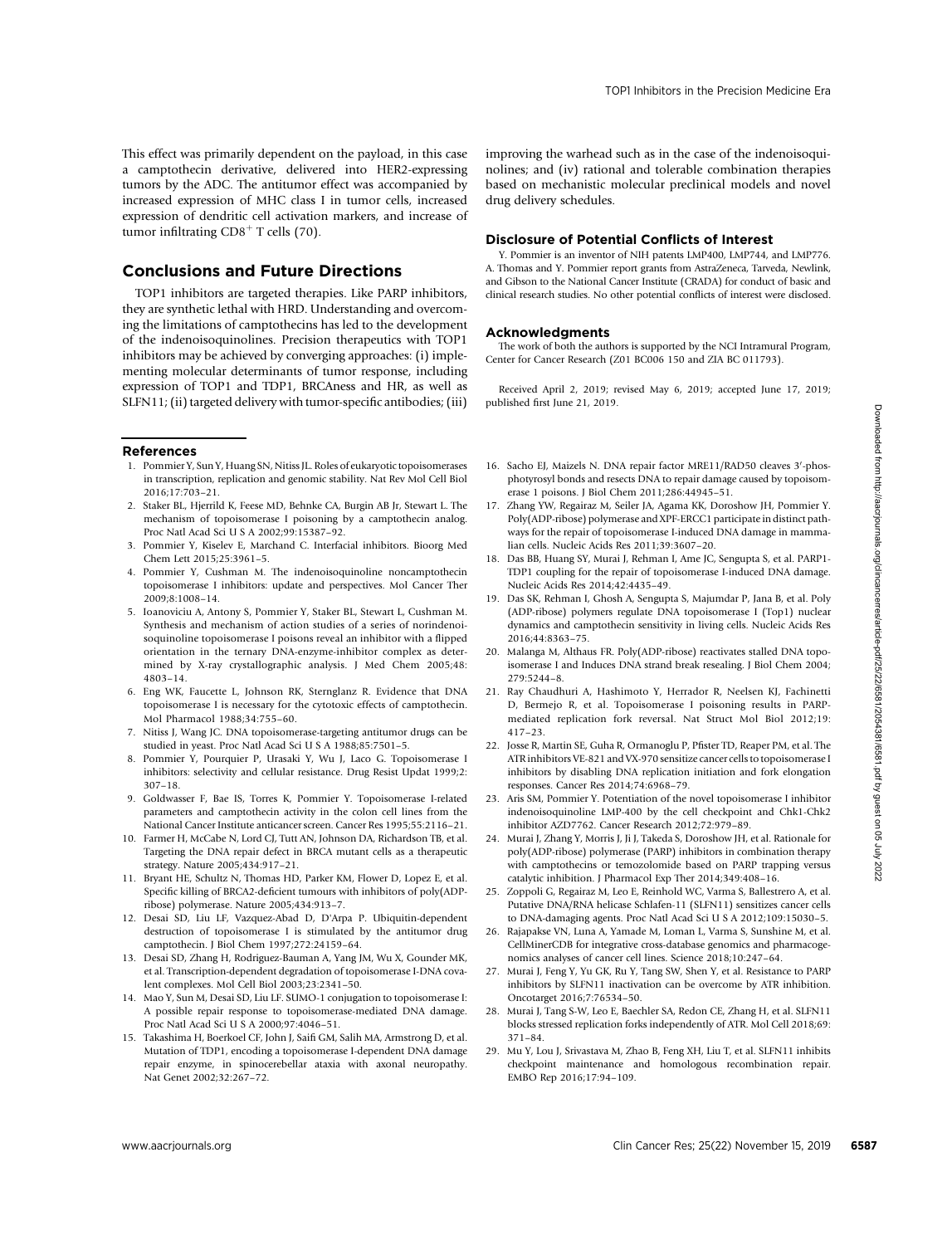This effect was primarily dependent on the payload, in this case a camptothecin derivative, delivered into HER2-expressing tumors by the ADC. The antitumor effect was accompanied by increased expression of MHC class I in tumor cells, increased expression of dendritic cell activation markers, and increase of tumor infiltrating  $CD8<sup>+</sup>$  T cells (70).

## Conclusions and Future Directions

TOP1 inhibitors are targeted therapies. Like PARP inhibitors, they are synthetic lethal with HRD. Understanding and overcoming the limitations of camptothecins has led to the development of the indenoisoquinolines. Precision therapeutics with TOP1 inhibitors may be achieved by converging approaches: (i) implementing molecular determinants of tumor response, including expression of TOP1 and TDP1, BRCAness and HR, as well as SLFN11; (ii) targeted delivery with tumor-specific antibodies; (iii)

#### References

- 1. Pommier Y, Sun Y, Huang SN, Nitiss JL. Roles of eukaryotic topoisomerases in transcription, replication and genomic stability. Nat Rev Mol Cell Biol 2016;17:703–21.
- 2. Staker BL, Hjerrild K, Feese MD, Behnke CA, Burgin AB Jr, Stewart L. The mechanism of topoisomerase I poisoning by a camptothecin analog. Proc Natl Acad Sci U S A 2002;99:15387–92.
- 3. Pommier Y, Kiselev E, Marchand C. Interfacial inhibitors. Bioorg Med Chem Lett 2015;25:3961–5.
- 4. Pommier Y, Cushman M. The indenoisoquinoline noncamptothecin topoisomerase I inhibitors: update and perspectives. Mol Cancer Ther 2009;8:1008–14.
- 5. Ioanoviciu A, Antony S, Pommier Y, Staker BL, Stewart L, Cushman M. Synthesis and mechanism of action studies of a series of norindenoisoquinoline topoisomerase I poisons reveal an inhibitor with a flipped orientation in the ternary DNA-enzyme-inhibitor complex as determined by X-ray crystallographic analysis. J Med Chem 2005;48: 4803–14. **References contribution** in the state of the control or the state of the state of the state of the state of the state of the state of the state of the state of the state of the state of the state of the state of the stat
- 6. Eng WK, Faucette L, Johnson RK, Sternglanz R. Evidence that DNA topoisomerase I is necessary for the cytotoxic effects of camptothecin. Mol Pharmacol 1988;34:755–60.
- 7. Nitiss J, Wang JC. DNA topoisomerase-targeting antitumor drugs can be studied in yeast. Proc Natl Acad Sci U S A 1988;85:7501–5.
- 8. Pommier Y, Pourquier P, Urasaki Y, Wu J, Laco G. Topoisomerase I inhibitors: selectivity and cellular resistance. Drug Resist Updat 1999;2: 307–18.
- 9. Goldwasser F, Bae IS, Torres K, Pommier Y. Topoisomerase I-related parameters and camptothecin activity in the colon cell lines from the National Cancer Institute anticancer screen. Cancer Res 1995;55:2116–21.
- 10. Farmer H, McCabe N, Lord CJ, Tutt AN, Johnson DA, Richardson TB, et al. Targeting the DNA repair defect in BRCA mutant cells as a therapeutic strategy. Nature 2005;434:917–21.
- 11. Bryant HE, Schultz N, Thomas HD, Parker KM, Flower D, Lopez E, et al. Specific killing of BRCA2-deficient tumours with inhibitors of poly(ADPribose) polymerase. Nature 2005;434:913–7.
- 12. Desai SD, Liu LF, Vazquez-Abad D, D'Arpa P. Ubiquitin-dependent destruction of topoisomerase I is stimulated by the antitumor drug camptothecin. J Biol Chem 1997;272:24159–64.
- 13. Desai SD, Zhang H, Rodriguez-Bauman A, Yang JM, Wu X, Gounder MK, et al. Transcription-dependent degradation of topoisomerase I-DNA covalent complexes. Mol Cell Biol 2003;23:2341–50.
- 14. Mao Y, Sun M, Desai SD, Liu LF. SUMO-1 conjugation to topoisomerase I: A possible repair response to topoisomerase-mediated DNA damage. Proc Natl Acad Sci U S A 2000;97:4046–51.
- 15. Takashima H, Boerkoel CF, John J, Saifi GM, Salih MA, Armstrong D, et al. Mutation of TDP1, encoding a topoisomerase I-dependent DNA damage repair enzyme, in spinocerebellar ataxia with axonal neuropathy. Nat Genet 2002;32:267–72.

improving the warhead such as in the case of the indenoisoquinolines; and (iv) rational and tolerable combination therapies based on mechanistic molecular preclinical models and novel drug delivery schedules.

#### Disclosure of Potential Conflicts of Interest

Y. Pommier is an inventor of NIH patents LMP400, LMP744, and LMP776. A. Thomas and Y. Pommier report grants from AstraZeneca, Tarveda, Newlink, and Gibson to the National Cancer Institute (CRADA) for conduct of basic and clinical research studies. No other potential conflicts of interest were disclosed.

### Acknowledgments

The work of both the authors is supported by the NCI Intramural Program, Center for Cancer Research (Z01 BC006 150 and ZIA BC 011793).

Received April 2, 2019; revised May 6, 2019; accepted June 17, 2019; published first June 21, 2019.

- 16. Sacho EJ, Maizels N. DNA repair factor MRE11/RAD50 cleaves 3'-phosphotyrosyl bonds and resects DNA to repair damage caused by topoisomerase 1 poisons. J Biol Chem 2011;286:44945–51.
- 17. Zhang YW, Regairaz M, Seiler JA, Agama KK, Doroshow JH, Pommier Y. Poly(ADP-ribose) polymerase and XPF-ERCC1 participate in distinct pathways for the repair of topoisomerase I-induced DNA damage in mammalian cells. Nucleic Acids Res 2011;39:3607–20.
- 18. Das BB, Huang SY, Murai J, Rehman I, Ame JC, Sengupta S, et al. PARP1- TDP1 coupling for the repair of topoisomerase I-induced DNA damage. Nucleic Acids Res 2014;42:4435–49.
- 19. Das SK, Rehman I, Ghosh A, Sengupta S, Majumdar P, Jana B, et al. Poly (ADP-ribose) polymers regulate DNA topoisomerase I (Top1) nuclear dynamics and camptothecin sensitivity in living cells. Nucleic Acids Res 2016;44:8363–75.
- 20. Malanga M, Althaus FR. Poly(ADP-ribose) reactivates stalled DNA topoisomerase I and Induces DNA strand break resealing. J Biol Chem 2004; 279:5244–8.
- 21. Ray Chaudhuri A, Hashimoto Y, Herrador R, Neelsen KJ, Fachinetti D, Bermejo R, et al. Topoisomerase I poisoning results in PARPmediated replication fork reversal. Nat Struct Mol Biol 2012;19: 417–23.
- 22. Josse R, Martin SE, Guha R, Ormanoglu P, Pfister TD, Reaper PM, et al. The ATR inhibitors VE-821 and VX-970 sensitize cancer cells to topoisomerase I inhibitors by disabling DNA replication initiation and fork elongation responses. Cancer Res 2014;74:6968–79.
- 23. Aris SM, Pommier Y. Potentiation of the novel topoisomerase I inhibitor indenoisoquinoline LMP-400 by the cell checkpoint and Chk1-Chk2 inhibitor AZD7762. Cancer Research 2012;72:979–89.
- 24. Murai J, Zhang Y, Morris J, Ji J, Takeda S, Doroshow JH, et al. Rationale for poly(ADP-ribose) polymerase (PARP) inhibitors in combination therapy with camptothecins or temozolomide based on PARP trapping versus catalytic inhibition. J Pharmacol Exp Ther 2014;349:408–16.
- 25. Zoppoli G, Regairaz M, Leo E, Reinhold WC, Varma S, Ballestrero A, et al. Putative DNA/RNA helicase Schlafen-11 (SLFN11) sensitizes cancer cells to DNA-damaging agents. Proc Natl Acad Sci U S A 2012;109:15030–5.
- 26. Rajapakse VN, Luna A, Yamade M, Loman L, Varma S, Sunshine M, et al. CellMinerCDB for integrative cross-database genomics and pharmacogenomics analyses of cancer cell lines. Science 2018;10:247–64.
- 27. Murai J, Feng Y, Yu GK, Ru Y, Tang SW, Shen Y, et al. Resistance to PARP inhibitors by SLFN11 inactivation can be overcome by ATR inhibition. Oncotarget 2016;7:76534–50.
- 28. Murai J, Tang S-W, Leo E, Baechler SA, Redon CE, Zhang H, et al. SLFN11 blocks stressed replication forks independently of ATR. Mol Cell 2018;69: 371–84.
- 29. Mu Y, Lou J, Srivastava M, Zhao B, Feng XH, Liu T, et al. SLFN11 inhibits checkpoint maintenance and homologous recombination repair. EMBO Rep 2016;17:94–109.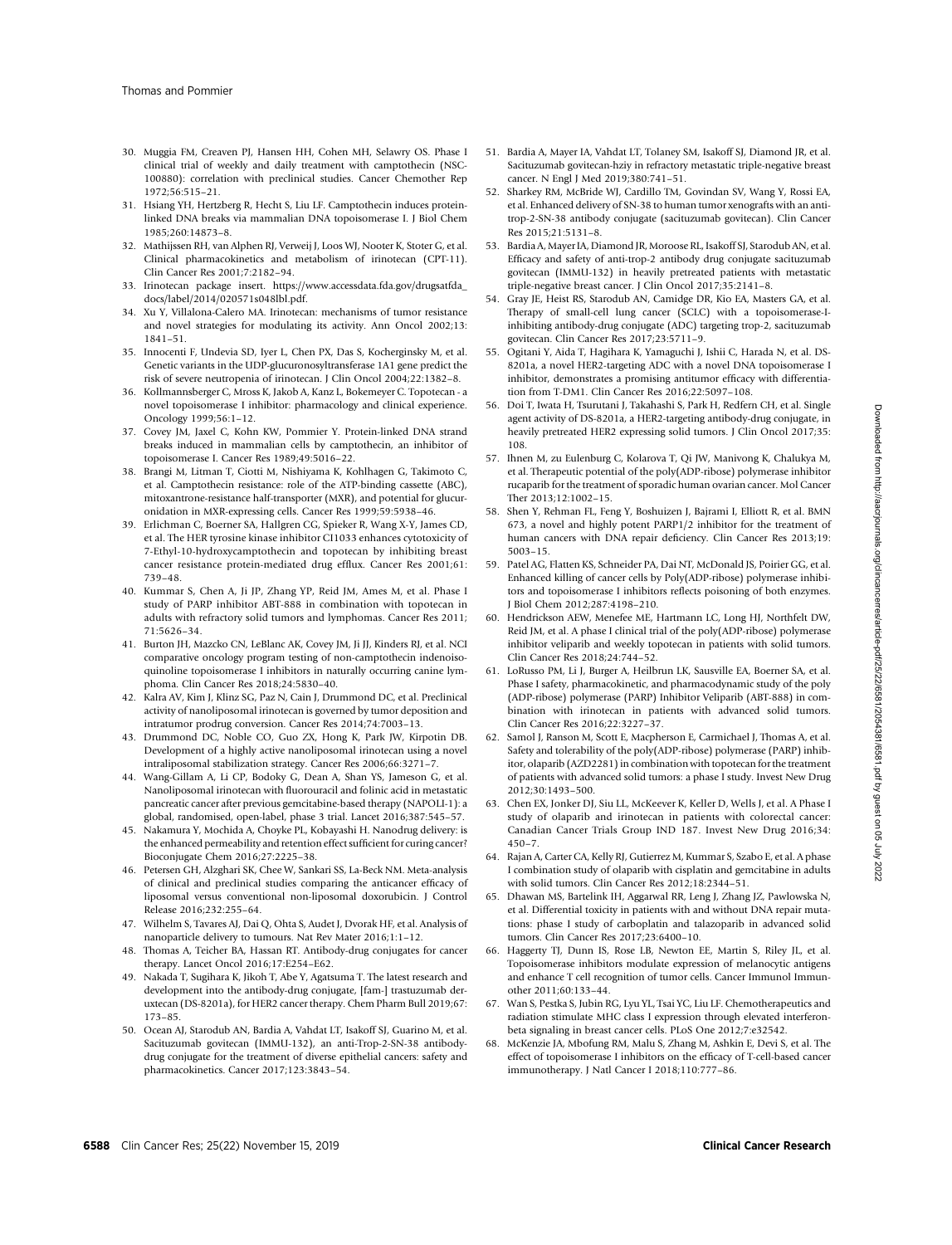- 30. Muggia FM, Creaven PJ, Hansen HH, Cohen MH, Selawry OS. Phase I clinical trial of weekly and daily treatment with camptothecin (NSC-100880): correlation with preclinical studies. Cancer Chemother Rep 1972;56:515–21.
- 31. Hsiang YH, Hertzberg R, Hecht S, Liu LF. Camptothecin induces proteinlinked DNA breaks via mammalian DNA topoisomerase I. J Biol Chem 1985;260:14873–8.
- 32. Mathijssen RH, van Alphen RJ, Verweij J, Loos WJ, Nooter K, Stoter G, et al. Clinical pharmacokinetics and metabolism of irinotecan (CPT-11). Clin Cancer Res 2001;7:2182–94.
- 33. Irinotecan package insert. [https://www.accessdata.fda.gov/drugsatfda\\_](https://www.accessdata.fda.gov/drugsatfda_docs/label/2014/020571s048lbl.pdf) [docs/label/2014/020571s048lbl.pdf.](https://www.accessdata.fda.gov/drugsatfda_docs/label/2014/020571s048lbl.pdf)
- 34. Xu Y, Villalona-Calero MA. Irinotecan: mechanisms of tumor resistance and novel strategies for modulating its activity. Ann Oncol 2002;13: 1841–51.
- 35. Innocenti F, Undevia SD, Iyer L, Chen PX, Das S, Kocherginsky M, et al. Genetic variants in the UDP-glucuronosyltransferase 1A1 gene predict the risk of severe neutropenia of irinotecan. J Clin Oncol 2004;22:1382–8.
- 36. Kollmannsberger C, Mross K, Jakob A, Kanz L, Bokemeyer C. Topotecan a novel topoisomerase I inhibitor: pharmacology and clinical experience. Oncology 1999;56:1–12.
- 37. Covey JM, Jaxel C, Kohn KW, Pommier Y. Protein-linked DNA strand breaks induced in mammalian cells by camptothecin, an inhibitor of topoisomerase I. Cancer Res 1989;49:5016–22.
- 38. Brangi M, Litman T, Ciotti M, Nishiyama K, Kohlhagen G, Takimoto C, et al. Camptothecin resistance: role of the ATP-binding cassette (ABC), mitoxantrone-resistance half-transporter (MXR), and potential for glucuronidation in MXR-expressing cells. Cancer Res 1999;59:5938–46.
- 39. Erlichman C, Boerner SA, Hallgren CG, Spieker R, Wang X-Y, James CD, et al. The HER tyrosine kinase inhibitor CI1033 enhances cytotoxicity of 7-Ethyl-10-hydroxycamptothecin and topotecan by inhibiting breast cancer resistance protein-mediated drug efflux. Cancer Res 2001;61: 739–48.
- 40. Kummar S, Chen A, Ji JP, Zhang YP, Reid JM, Ames M, et al. Phase I study of PARP inhibitor ABT-888 in combination with topotecan in adults with refractory solid tumors and lymphomas. Cancer Res 2011; 71:5626–34.
- 41. Burton JH, Mazcko CN, LeBlanc AK, Covey JM, Ji JJ, Kinders RJ, et al. NCI comparative oncology program testing of non-camptothecin indenoisoquinoline topoisomerase I inhibitors in naturally occurring canine lymphoma. Clin Cancer Res 2018;24:5830–40.
- 42. Kalra AV, Kim J, Klinz SG, Paz N, Cain J, Drummond DC, et al. Preclinical activity of nanoliposomal irinotecan is governed by tumor deposition and intratumor prodrug conversion. Cancer Res 2014;74:7003–13.
- 43. Drummond DC, Noble CO, Guo ZX, Hong K, Park JW, Kirpotin DB. Development of a highly active nanoliposomal irinotecan using a novel intraliposomal stabilization strategy. Cancer Res 2006;66:3271–7.
- 44. Wang-Gillam A, Li CP, Bodoky G, Dean A, Shan YS, Jameson G, et al. Nanoliposomal irinotecan with fluorouracil and folinic acid in metastatic pancreatic cancer after previous gemcitabine-based therapy (NAPOLI-1): a global, randomised, open-label, phase 3 trial. Lancet 2016;387:545–57.
- 45. Nakamura Y, Mochida A, Choyke PL, Kobayashi H. Nanodrug delivery: is the enhanced permeability and retention effect sufficient for curing cancer? Bioconjugate Chem 2016;27:2225–38.
- 46. Petersen GH, Alzghari SK, Chee W, Sankari SS, La-Beck NM. Meta-analysis of clinical and preclinical studies comparing the anticancer efficacy of liposomal versus conventional non-liposomal doxorubicin. J Control Release 2016;232:255–64.
- 47. Wilhelm S, Tavares AJ, Dai Q, Ohta S, Audet J, Dvorak HF, et al. Analysis of nanoparticle delivery to tumours. Nat Rev Mater 2016;1:1–12.
- 48. Thomas A, Teicher BA, Hassan RT. Antibody-drug conjugates for cancer therapy. Lancet Oncol 2016;17:E254–E62.
- 49. Nakada T, Sugihara K, Jikoh T, Abe Y, Agatsuma T. The latest research and development into the antibody-drug conjugate, [fam-] trastuzumab deruxtecan (DS-8201a), for HER2 cancer therapy. Chem Pharm Bull 2019;67: 173–85.
- 50. Ocean AJ, Starodub AN, Bardia A, Vahdat LT, Isakoff SJ, Guarino M, et al. Sacituzumab govitecan (IMMU-132), an anti-Trop-2-SN-38 antibodydrug conjugate for the treatment of diverse epithelial cancers: safety and pharmacokinetics. Cancer 2017;123:3843–54.
- 51. Bardia A, Mayer IA, Vahdat LT, Tolaney SM, Isakoff SJ, Diamond JR, et al. Sacituzumab govitecan-hziy in refractory metastatic triple-negative breast cancer. N Engl J Med 2019;380:741–51.
- 52. Sharkey RM, McBride WJ, Cardillo TM, Govindan SV, Wang Y, Rossi EA, et al. Enhanced delivery of SN-38 to human tumor xenografts with an antitrop-2-SN-38 antibody conjugate (sacituzumab govitecan). Clin Cancer Res 2015;21:5131–8.
- 53. Bardia A, Mayer IA, Diamond JR, Moroose RL, Isakoff SJ, Starodub AN, et al. Efficacy and safety of anti-trop-2 antibody drug conjugate sacituzumab govitecan (IMMU-132) in heavily pretreated patients with metastatic triple-negative breast cancer. J Clin Oncol 2017;35:2141–8.
- 54. Gray JE, Heist RS, Starodub AN, Camidge DR, Kio EA, Masters GA, et al. Therapy of small-cell lung cancer (SCLC) with a topoisomerase-Iinhibiting antibody-drug conjugate (ADC) targeting trop-2, sacituzumab govitecan. Clin Cancer Res 2017;23:5711–9.
- 55. Ogitani Y, Aida T, Hagihara K, Yamaguchi J, Ishii C, Harada N, et al. DS-8201a, a novel HER2-targeting ADC with a novel DNA topoisomerase I inhibitor, demonstrates a promising antitumor efficacy with differentiation from T-DM1. Clin Cancer Res 2016;22:5097–108.
- 56. Doi T, Iwata H, Tsurutani J, Takahashi S, Park H, Redfern CH, et al. Single agent activity of DS-8201a, a HER2-targeting antibody-drug conjugate, in heavily pretreated HER2 expressing solid tumors. J Clin Oncol 2017;35: 108.
- 57. Ihnen M, zu Eulenburg C, Kolarova T, Qi JW, Manivong K, Chalukya M, et al. Therapeutic potential of the poly(ADP-ribose) polymerase inhibitor rucaparib for the treatment of sporadic human ovarian cancer. Mol Cancer Ther 2013;12:1002–15.
- 58. Shen Y, Rehman FL, Feng Y, Boshuizen J, Bajrami I, Elliott R, et al. BMN 673, a novel and highly potent PARP1/2 inhibitor for the treatment of human cancers with DNA repair deficiency. Clin Cancer Res 2013;19: 5003–15.
- 59. Patel AG, Flatten KS, Schneider PA, Dai NT, McDonald JS, Poirier GG, et al. Enhanced killing of cancer cells by Poly(ADP-ribose) polymerase inhibitors and topoisomerase I inhibitors reflects poisoning of both enzymes. J Biol Chem 2012;287:4198–210.
- 60. Hendrickson AEW, Menefee ME, Hartmann LC, Long HJ, Northfelt DW, Reid JM, et al. A phase I clinical trial of the poly(ADP-ribose) polymerase inhibitor veliparib and weekly topotecan in patients with solid tumors. Clin Cancer Res 2018;24:744–52.
- 61. LoRusso PM, Li J, Burger A, Heilbrun LK, Sausville EA, Boerner SA, et al. Phase I safety, pharmacokinetic, and pharmacodynamic study of the poly (ADP-ribose) polymerase (PARP) Inhibitor Veliparib (ABT-888) in combination with irinotecan in patients with advanced solid tumors. Clin Cancer Res 2016;22:3227–37.
- 62. Samol J, Ranson M, Scott E, Macpherson E, Carmichael J, Thomas A, et al. Safety and tolerability of the poly(ADP-ribose) polymerase (PARP) inhibitor, olaparib (AZD2281) in combination with topotecan for the treatment of patients with advanced solid tumors: a phase I study. Invest New Drug 2012;30:1493–500.
- 63. Chen EX, Jonker DJ, Siu LL, McKeever K, Keller D, Wells J, et al. A Phase I study of olaparib and irinotecan in patients with colorectal cancer: Canadian Cancer Trials Group IND 187. Invest New Drug 2016;34:  $450 - 7$ .
- 64. Rajan A, Carter CA, Kelly RJ, Gutierrez M, Kummar S, Szabo E, et al. A phase I combination study of olaparib with cisplatin and gemcitabine in adults with solid tumors. Clin Cancer Res 2012;18:2344–51.
- 65. Dhawan MS, Bartelink IH, Aggarwal RR, Leng J, Zhang JZ, Pawlowska N, et al. Differential toxicity in patients with and without DNA repair mutations: phase I study of carboplatin and talazoparib in advanced solid tumors. Clin Cancer Res 2017;23:6400–10.
- 66. Haggerty TJ, Dunn IS, Rose LB, Newton EE, Martin S, Riley JL, et al. Topoisomerase inhibitors modulate expression of melanocytic antigens and enhance T cell recognition of tumor cells. Cancer Immunol Immunother 2011;60:133–44.
- 67. Wan S, Pestka S, Jubin RG, Lyu YL, Tsai YC, Liu LF. Chemotherapeutics and radiation stimulate MHC class I expression through elevated interferonbeta signaling in breast cancer cells. PLoS One 2012;7:e32542.
- 68. McKenzie JA, Mbofung RM, Malu S, Zhang M, Ashkin E, Devi S, et al. The effect of topoisomerase I inhibitors on the efficacy of T-cell-based cancer immunotherapy. J Natl Cancer I 2018;110:777–86.